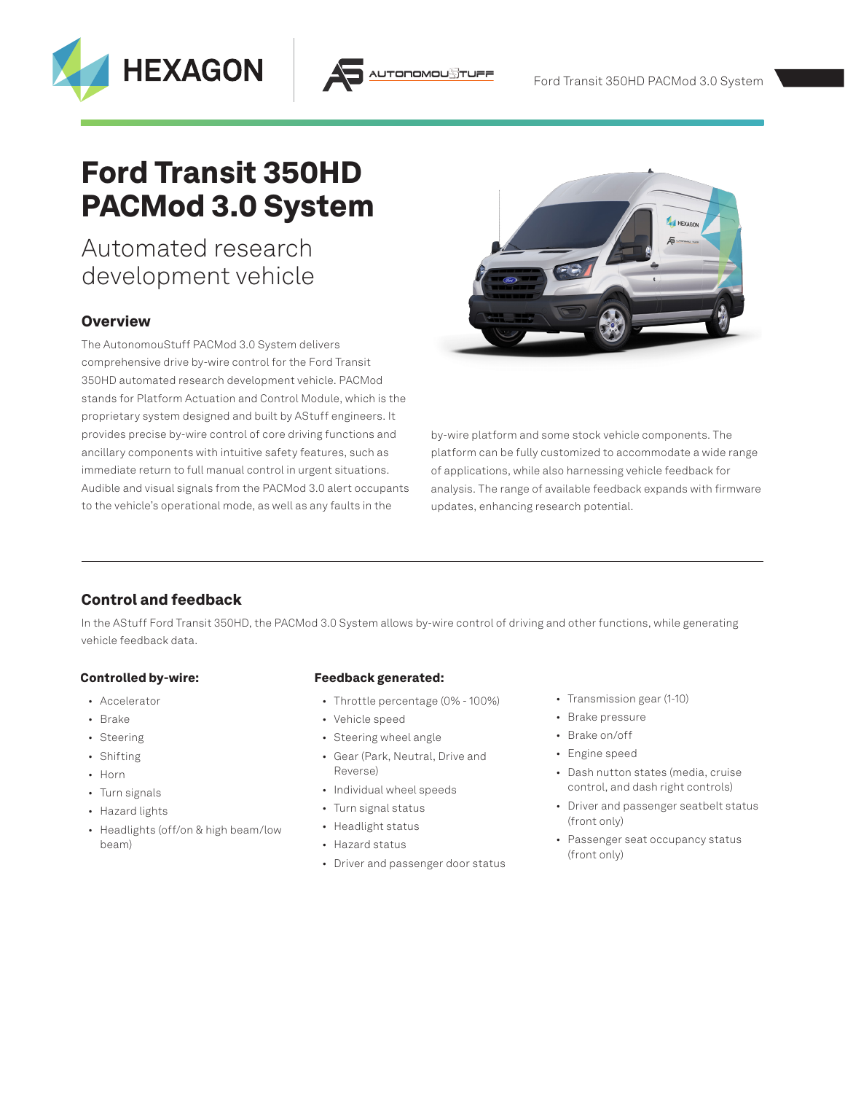# Ford Transit 350HD PACMod 3.0 System

## Automated research development vehicle

**HEXAGON** 

### **Overview**

The AutonomouStuff PACMod 3.0 System delivers comprehensive drive by-wire control for the Ford Transit 350HD automated research development vehicle. PACMod stands for Platform Actuation and Control Module, which is the proprietary system designed and built by AStuff engineers. It provides precise by-wire control of core driving functions and ancillary components with intuitive safety features, such as immediate return to full manual control in urgent situations. Audible and visual signals from the PACMod 3.0 alert occupants to the vehicle's operational mode, as well as any faults in the



by-wire platform and some stock vehicle components. The platform can be fully customized to accommodate a wide range of applications, while also harnessing vehicle feedback for analysis. The range of available feedback expands with firmware updates, enhancing research potential.

## Control and feedback

In the AStuff Ford Transit 350HD, the PACMod 3.0 System allows by-wire control of driving and other functions, while generating vehicle feedback data.

TODOMOU

#### Controlled by-wire:

- Accelerator
- Brake
- Steering
- Shifting
- Horn
- Turn signals
- Hazard lights
- Headlights (off/on & high beam/low beam)

#### Feedback generated:

- Throttle percentage (0% 100%)
- Vehicle speed
- Steering wheel angle
- Gear (Park, Neutral, Drive and Reverse)
- Individual wheel speeds
- Turn signal status
- Headlight status
- Hazard status
- Driver and passenger door status
- Transmission gear (1-10)
- Brake pressure
- Brake on/off
- Engine speed
- Dash nutton states (media, cruise control, and dash right controls)
- Driver and passenger seatbelt status (front only)
- Passenger seat occupancy status (front only)